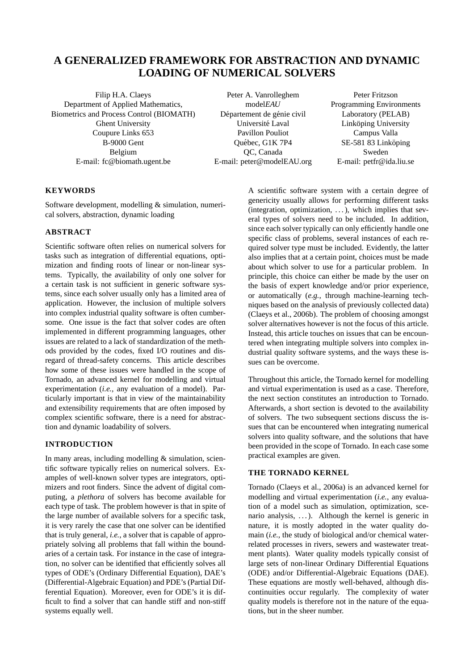# **A GENERALIZED FRAMEWORK FOR ABSTRACTION AND DYNAMIC LOADING OF NUMERICAL SOLVERS**

Filip H.A. Claeys Peter A. Vanrolleghem Peter Fritzson Department of Applied Mathematics, model*EAU* Programming Environments Biometrics and Process Control (BIOMATH) Département de génie civil Laboratory (PELAB) Ghent University Universite Laval Link ´ oping University ¨ Coupure Links 653 Pavillon Pouliot Campus Valla B-9000 Gent Cuébec, G1K 7P4 SE-581 83 Link öping  $O$ uébec, G1K 7P4 SE-581 83 Link öping E-mail: fc@biomath.ugent.be E-mail: peter@modelEAU.org E-mail: petfr@ida.liu.se

Belgium **DC**, Canada Sweden

# **KEYWORDS**

Software development, modelling & simulation, numerical solvers, abstraction, dynamic loading

## **ABSTRACT**

Scientific software often relies on numerical solvers for tasks such as integration of differential equations, optimization and finding roots of linear or non-linear systems. Typically, the availability of only one solver for a certain task is not sufficient in generic software systems, since each solver usually only has a limited area of application. However, the inclusion of multiple solvers into complex industrial quality software is often cumbersome. One issue is the fact that solver codes are often implemented in different programming languages, other issues are related to a lack of standardization of the methods provided by the codes, fixed I/O routines and disregard of thread-safety concerns. This article describes how some of these issues were handled in the scope of Tornado, an advanced kernel for modelling and virtual experimentation (*i.e.*, any evaluation of a model). Particularly important is that in view of the maintainability and extensibility requirements that are often imposed by complex scientific software, there is a need for abstraction and dynamic loadability of solvers.

## **INTRODUCTION**

In many areas, including modelling  $&$  simulation, scientific software typically relies on numerical solvers. Examples of well-known solver types are integrators, optimizers and root finders. Since the advent of digital computing, a *plethora* of solvers has become available for each type of task. The problem however is that in spite of the large number of available solvers for a specific task, it is very rarely the case that one solver can be identified that is truly general, *i.e.*, a solver that is capable of appropriately solving all problems that fall within the boundaries of a certain task. For instance in the case of integration, no solver can be identified that efficiently solves all types of ODE's (Ordinary Differential Equation), DAE's (Differential-Algebraic Equation) and PDE's (Partial Differential Equation). Moreover, even for ODE's it is difficult to find a solver that can handle stiff and non-stiff systems equally well.

A scientific software system with a certain degree of genericity usually allows for performing different tasks (integration, optimization, . . . ), which implies that several types of solvers need to be included. In addition, since each solver typically can only efficiently handle one specific class of problems, several instances of each required solver type must be included. Evidently, the latter also implies that at a certain point, choices must be made about which solver to use for a particular problem. In principle, this choice can either be made by the user on the basis of expert knowledge and/or prior experience, or automatically (*e.g.*, through machine-learning techniques based on the analysis of previously collected data) (Claeys et al., 2006b). The problem of choosing amongst solver alternatives however is not the focus of this article. Instead, this article touches on issues that can be encountered when integrating multiple solvers into complex industrial quality software systems, and the ways these issues can be overcome.

Throughout this article, the Tornado kernel for modelling and virtual experimentation is used as a case. Therefore, the next section constitutes an introduction to Tornado. Afterwards, a short section is devoted to the availability of solvers. The two subsequent sections discuss the issues that can be encountered when integrating numerical solvers into quality software, and the solutions that have been provided in the scope of Tornado. In each case some practical examples are given.

## **THE TORNADO KERNEL**

Tornado (Claeys et al., 2006a) is an advanced kernel for modelling and virtual experimentation (*i.e.*, any evaluation of a model such as simulation, optimization, scenario analysis, ...). Although the kernel is generic in nature, it is mostly adopted in the water quality domain (*i.e.*, the study of biological and/or chemical waterrelated processes in rivers, sewers and wastewater treatment plants). Water quality models typically consist of large sets of non-linear Ordinary Differential Equations (ODE) and/or Differential-Algebraic Equations (DAE). These equations are mostly well-behaved, although discontinuities occur regularly. The complexity of water quality models is therefore not in the nature of the equations, but in the sheer number.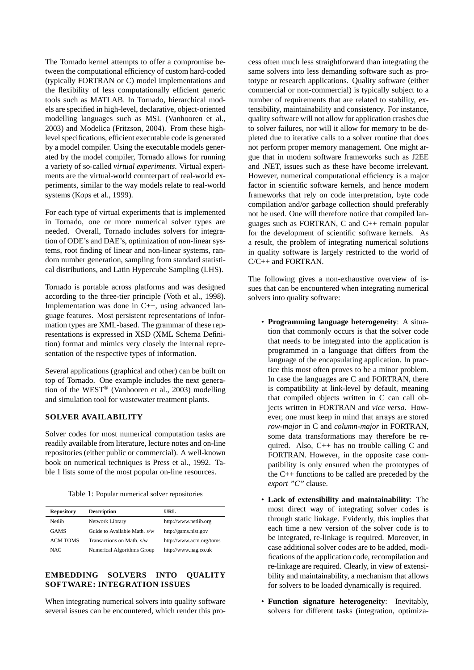The Tornado kernel attempts to offer a compromise between the computational efficiency of custom hard-coded (typically FORTRAN or C) model implementations and the flexibility of less computationally efficient generic tools such as MATLAB. In Tornado, hierarchical models are specified in high-level, declarative, object-oriented modelling languages such as MSL (Vanhooren et al., 2003) and Modelica (Fritzson, 2004). From these highlevel specifications, efficient executable code is generated by a model compiler. Using the executable models generated by the model compiler, Tornado allows for running a variety of so-called *virtual experiments*. Virtual experiments are the virtual-world counterpart of real-world experiments, similar to the way models relate to real-world systems (Kops et al., 1999).

For each type of virtual experiments that is implemented in Tornado, one or more numerical solver types are needed. Overall, Tornado includes solvers for integration of ODE's and DAE's, optimization of non-linear systems, root finding of linear and non-linear systems, random number generation, sampling from standard statistical distributions, and Latin Hypercube Sampling (LHS).

Tornado is portable across platforms and was designed according to the three-tier principle (Voth et al., 1998). Implementation was done in C++, using advanced language features. Most persistent representations of information types are XML-based. The grammar of these representations is expressed in XSD (XML Schema Definition) format and mimics very closely the internal representation of the respective types of information.

Several applications (graphical and other) can be built on top of Tornado. One example includes the next generation of the WEST® (Vanhooren et al., 2003) modelling and simulation tool for wastewater treatment plants.

# **SOLVER AVAILABILITY**

Solver codes for most numerical computation tasks are readily available from literature, lecture notes and on-line repositories (either public or commercial). A well-known book on numerical techniques is Press et al., 1992. Table 1 lists some of the most popular on-line resources.

Table 1: Popular numerical solver repositories

| <b>Repository</b> | <b>Description</b>           | URL                     |
|-------------------|------------------------------|-------------------------|
| Netlib            | Network Library              | http://www.netlib.org   |
| <b>GAMS</b>       | Guide to Available Math. s/w | http://gams.nist.gov    |
| <b>ACM TOMS</b>   | Transactions on Math. s/w    | http://www.acm.org/toms |
| <b>NAG</b>        | Numerical Algorithms Group   | http://www.nag.co.uk    |

### **EMBEDDING SOLVERS INTO QUALITY SOFTWARE: INTEGRATION ISSUES**

When integrating numerical solvers into quality software several issues can be encountered, which render this process often much less straightforward than integrating the same solvers into less demanding software such as prototype or research applications. Quality software (either commercial or non-commercial) is typically subject to a number of requirements that are related to stability, extensibility, maintainability and consistency. For instance, quality software will not allow for application crashes due to solver failures, nor will it allow for memory to be depleted due to iterative calls to a solver routine that does not perform proper memory management. One might argue that in modern software frameworks such as J2EE and .NET, issues such as these have become irrelevant. However, numerical computational efficiency is a major factor in scientific software kernels, and hence modern frameworks that rely on code interpretation, byte code compilation and/or garbage collection should preferably not be used. One will therefore notice that compiled languages such as FORTRAN, C and C++ remain popular for the development of scientific software kernels. As a result, the problem of integrating numerical solutions in quality software is largely restricted to the world of C/C++ and FORTRAN.

The following gives a non-exhaustive overview of issues that can be encountered when integrating numerical solvers into quality software:

- **Programming language heterogeneity**: A situation that commonly occurs is that the solver code that needs to be integrated into the application is programmed in a language that differs from the language of the encapsulating application. In practice this most often proves to be a minor problem. In case the languages are C and FORTRAN, there is compatibility at link-level by default, meaning that compiled objects written in C can call objects written in FORTRAN and *vice versa*. However, one must keep in mind that arrays are stored *row-major* in C and *column-major* in FORTRAN, some data transformations may therefore be required. Also, C++ has no trouble calling C and FORTRAN. However, in the opposite case compatibility is only ensured when the prototypes of the C++ functions to be called are preceded by the *export "C"* clause.
- **Lack of extensibility and maintainability**: The most direct way of integrating solver codes is through static linkage. Evidently, this implies that each time a new version of the solver code is to be integrated, re-linkage is required. Moreover, in case additional solver codes are to be added, modifications of the application code, recompilation and re-linkage are required. Clearly, in view of extensibility and maintainability, a mechanism that allows for solvers to be loaded dynamically is required.
- **Function signature heterogeneity**: Inevitably, solvers for different tasks (integration, optimiza-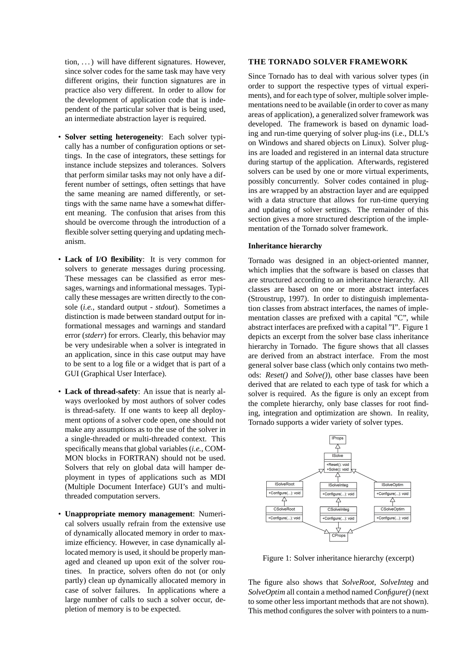tion,  $\ldots$ ) will have different signatures. However, since solver codes for the same task may have very different origins, their function signatures are in practice also very different. In order to allow for the development of application code that is independent of the particular solver that is being used, an intermediate abstraction layer is required.

- **Solver setting heterogeneity**: Each solver typically has a number of configuration options or settings. In the case of integrators, these settings for instance include stepsizes and tolerances. Solvers that perform similar tasks may not only have a different number of settings, often settings that have the same meaning are named differently, or settings with the same name have a somewhat different meaning. The confusion that arises from this should be overcome through the introduction of a flexible solver setting querying and updating mechanism.
- **Lack of I/O flexibility**: It is very common for solvers to generate messages during processing. These messages can be classified as error messages, warnings and informational messages. Typically these messages are written directly to the console (*i.e.*, standard output - *stdout*). Sometimes a distinction is made between standard output for informational messages and warnings and standard error (*stderr*) for errors. Clearly, this behavior may be very undesirable when a solver is integrated in an application, since in this case output may have to be sent to a log file or a widget that is part of a GUI (Graphical User Interface).
- **Lack of thread-safety**: An issue that is nearly always overlooked by most authors of solver codes is thread-safety. If one wants to keep all deployment options of a solver code open, one should not make any assumptions as to the use of the solver in a single-threaded or multi-threaded context. This specifically means that global variables (*i.e.*, COM-MON blocks in FORTRAN) should not be used. Solvers that rely on global data will hamper deployment in types of applications such as MDI (Multiple Document Interface) GUI's and multithreaded computation servers.
- **Unappropriate memory management**: Numerical solvers usually refrain from the extensive use of dynamically allocated memory in order to maximize efficiency. However, in case dynamically allocated memory is used, it should be properly managed and cleaned up upon exit of the solver routines. In practice, solvers often do not (or only partly) clean up dynamically allocated memory in case of solver failures. In applications where a large number of calls to such a solver occur, depletion of memory is to be expected.

### **THE TORNADO SOLVER FRAMEWORK**

Since Tornado has to deal with various solver types (in order to support the respective types of virtual experiments), and for each type of solver, multiple solver implementations need to be available (in order to cover as many areas of application), a generalized solver framework was developed. The framework is based on dynamic loading and run-time querying of solver plug-ins (i.e., DLL's on Windows and shared objects on Linux). Solver plugins are loaded and registered in an internal data structure during startup of the application. Afterwards, registered solvers can be used by one or more virtual experiments, possibly concurrently. Solver codes contained in plugins are wrapped by an abstraction layer and are equipped with a data structure that allows for run-time querying and updating of solver settings. The remainder of this section gives a more structured description of the implementation of the Tornado solver framework.

#### **Inheritance hierarchy**

Tornado was designed in an object-oriented manner, which implies that the software is based on classes that are structured according to an inheritance hierarchy. All classes are based on one or more abstract interfaces (Stroustrup, 1997). In order to distinguish implementation classes from abstract interfaces, the names of implementation classes are prefixed with a capital "C", while abstract interfaces are prefixed with a capital "I". Figure 1 depicts an excerpt from the solver base class inheritance hierarchy in Tornado. The figure shows that all classes are derived from an abstract interface. From the most general solver base class (which only contains two methods: *Reset()* and *Solve()*), other base classes have been derived that are related to each type of task for which a solver is required. As the figure is only an except from the complete hierarchy, only base classes for root finding, integration and optimization are shown. In reality, Tornado supports a wider variety of solver types.



Figure 1: Solver inheritance hierarchy (excerpt)

The figure also shows that *SolveRoot*, *SolveInteg* and *SolveOptim* all contain a method named *Configure()* (next to some other less important methods that are not shown). This method configures the solver with pointers to a num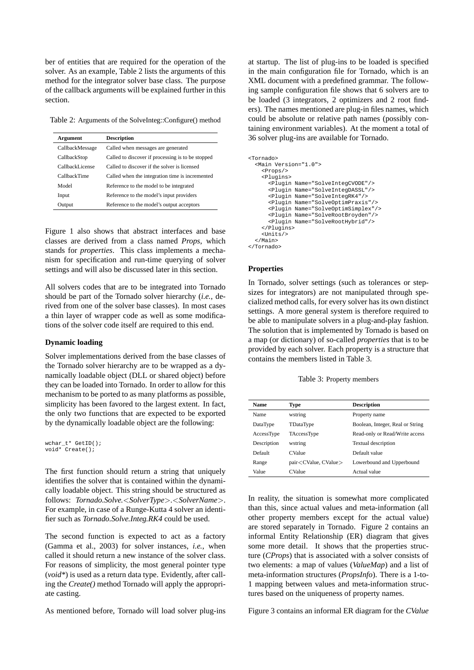ber of entities that are required for the operation of the solver. As an example, Table 2 lists the arguments of this method for the integrator solver base class. The purpose of the callback arguments will be explained further in this section.

Table 2: Arguments of the SolveInteg::Configure() method

| Argument        | <b>Description</b>                                |
|-----------------|---------------------------------------------------|
| CallbackMessage | Called when messages are generated                |
| CallbackStop    | Called to discover if processing is to be stopped |
| CallbackLicense | Called to discover if the solver is licensed      |
| CallbackTime    | Called when the integration time is incremented   |
| Model           | Reference to the model to be integrated           |
| Input           | Reference to the model's input providers          |
| Output          | Reference to the model's output acceptors         |
|                 |                                                   |

Figure 1 also shows that abstract interfaces and base classes are derived from a class named *Props*, which stands for *properties*. This class implements a mechanism for specification and run-time querying of solver settings and will also be discussed later in this section.

All solvers codes that are to be integrated into Tornado should be part of the Tornado solver hierarchy (*i.e.*, derived from one of the solver base classes). In most cases a thin layer of wrapper code as well as some modifications of the solver code itself are required to this end.

#### **Dynamic loading**

Solver implementations derived from the base classes of the Tornado solver hierarchy are to be wrapped as a dynamically loadable object (DLL or shared object) before they can be loaded into Tornado. In order to allow for this mechanism to be ported to as many platforms as possible, simplicity has been favored to the largest extent. In fact, the only two functions that are expected to be exported by the dynamically loadable object are the following:

```
wchar_t* GetID();
void* Create();
```
The first function should return a string that uniquely identifies the solver that is contained within the dynamically loadable object. This string should be structured as follows: *Tornado.Solve.*<*SolverType*>*.*<*SolverName*>. For example, in case of a Runge-Kutta 4 solver an identifier such as *Tornado.Solve.Integ.RK4* could be used.

The second function is expected to act as a factory (Gamma et al., 2003) for solver instances, *i.e.*, when called it should return a new instance of the solver class. For reasons of simplicity, the most general pointer type (*void\**) is used as a return data type. Evidently, after calling the *Create()* method Tornado will apply the appropriate casting.

As mentioned before, Tornado will load solver plug-ins

at startup. The list of plug-ins to be loaded is specified in the main configuration file for Tornado, which is an XML document with a predefined grammar. The following sample configuration file shows that 6 solvers are to be loaded (3 integrators, 2 optimizers and 2 root finders). The names mentioned are plug-in files names, which could be absolute or relative path names (possibly containing environment variables). At the moment a total of 36 solver plug-ins are available for Tornado.

```
<Tornado>
  <Main Version="1.0">
    <Props/>
    <Plugins>
      <Plugin Name="SolveIntegCVODE"/>
      <Plugin Name="SolveIntegDASSL"/>
      <Plugin Name="SolveIntegRK4"/>
      <Plugin Name="SolveOptimPraxis"/>
      <Plugin Name="SolveOptimSimplex"/>
      <Plugin Name="SolveRootBroyden"/>
      <Plugin Name="SolveRootHybrid"/>
    </Plugins>
    <Units/>
  </Main>
</Tornado>
```
#### **Properties**

In Tornado, solver settings (such as tolerances or stepsizes for integrators) are not manipulated through specialized method calls, for every solver has its own distinct settings. A more general system is therefore required to be able to manipulate solvers in a plug-and-play fashion. The solution that is implemented by Tornado is based on a map (or dictionary) of so-called *properties* that is to be provided by each solver. Each property is a structure that contains the members listed in Table 3.

Table 3: Property members

| <b>Name</b> | Type                               | <b>Description</b>               |
|-------------|------------------------------------|----------------------------------|
| <b>Name</b> | wstring                            | Property name                    |
| DataType    | TDataType                          | Boolean, Integer, Real or String |
| AccessType  | TAccessType                        | Read-only or Read/Write access   |
| Description | wstring                            | <b>Textual description</b>       |
| Default     | <b>CValue</b>                      | Default value                    |
| Range       | pair <cvalue, cvalue=""></cvalue,> | Lowerbound and Upperbound        |
| Value       | CValue                             | Actual value                     |
|             |                                    |                                  |

In reality, the situation is somewhat more complicated than this, since actual values and meta-information (all other property members except for the actual value) are stored separately in Tornado. Figure 2 contains an informal Entity Relationship (ER) diagram that gives some more detail. It shows that the properties structure (*CProps*) that is associated with a solver consists of two elements: a map of values (*ValueMap*) and a list of meta-information structures (*PropsInfo*). There is a 1-to-1 mapping between values and meta-information structures based on the uniqueness of property names.

Figure 3 contains an informal ER diagram for the *CValue*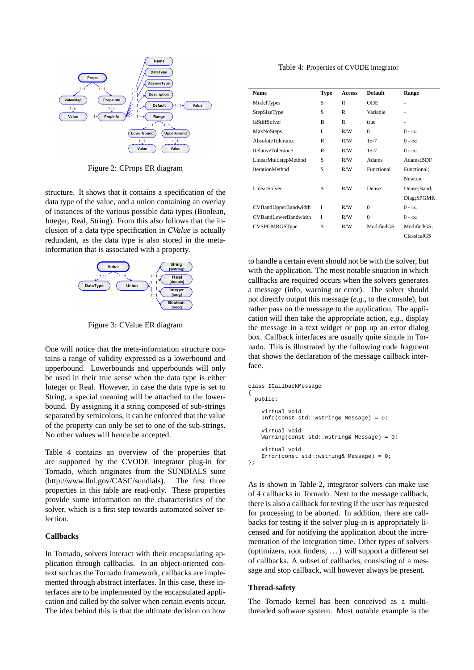

Figure 2: CProps ER diagram

structure. It shows that it contains a specification of the data type of the value, and a union containing an overlay of instances of the various possible data types (Boolean, Integer, Real, String). From this also follows that the inclusion of a data type specification in *CValue* is actually redundant, as the data type is also stored in the metainformation that is associated with a property.



Figure 3: CValue ER diagram

One will notice that the meta-information structure contains a range of validity expressed as a lowerbound and upperbound. Lowerbounds and upperbounds will only be used in their true sense when the data type is either Integer or Real. However, in case the data type is set to String, a special meaning will be attached to the lowerbound. By assigning it a string composed of sub-strings separated by semicolons, it can be enforced that the value of the property can only be set to one of the sub-strings. No other values will hence be accepted.

Table 4 contains an overview of the properties that are supported by the CVODE integrator plug-in for Tornado, which originates from the SUNDIALS suite (http://www.llnl.gov/CASC/sundials). The first three properties in this table are read-only. These properties provide some information on the characteristics of the solver, which is a first step towards automated solver selection.

### **Callbacks**

In Tornado, solvers interact with their encapsulating application through callbacks. In an object-oriented context such as the Tornado framework, callbacks are implemented through abstract interfaces. In this case, these interfaces are to be implemented by the encapsulated application and called by the solver when certain events occur. The idea behind this is that the ultimate decision on how

Table 4: Properties of CVODE integrator

| <b>Name</b>              | <b>Type</b> | <b>Access</b> | <b>Default</b> | Range         |
|--------------------------|-------------|---------------|----------------|---------------|
| ModelTypes               | S           | R             | <b>ODE</b>     |               |
| StepSizeType             | S           | R             | Variable       |               |
| <b>IsStiffSolver</b>     | B           | $\mathbb{R}$  | true           |               |
| MaxNoSteps               | I           | R/W           | $\theta$       | $0 - \infty$  |
| AbsoluteTolerance        | R           | R/W           | $1e-7$         | $0 - \infty$  |
| <b>RelativeTolerance</b> | R           | R/W           | $1e-7$         | $0 - \infty$  |
| LinearMultistepMethod    | S           | R/W           | Adams          | Adams;BDF     |
| <b>IterationMethod</b>   | S           | R/W           | Functional     | Functional;   |
|                          |             |               |                | <b>Newton</b> |
| LinearSolver             | S           | R/W           | Dense          | Dense; Band;  |
|                          |             |               |                | Diag;SPGMR    |
| CVBandUpperBandwidth     | Ī           | R/W           | $\theta$       | $0 - \infty$  |
| CVBandLowerBandwidth     | Ī           | R/W           | $\theta$       | $0 - \infty$  |
| <b>CVSPGMRGSType</b>     | S           | R/W           | ModifiedGS     | ModifiedGS;   |
|                          |             |               |                | ClassicalGS   |

to handle a certain event should not be with the solver, but with the application. The most notable situation in which callbacks are required occurs when the solvers generates a message (info, warning or error). The solver should not directly output this message (*e.g.*, to the console), but rather pass on the message to the application. The application will then take the appropriate action, *e.g.*, display the message in a text widget or pop up an error dialog box. Callback interfaces are usually quite simple in Tornado. This is illustrated by the following code fragment that shows the declaration of the message callback interface.

```
class ICallbackMessage
  public:
    virtual void
    Info(const std::wstring& Message) = 0;
    virtual void
    Warning(const std::wstring& Message) = 0;
    virtual void
    Error(const std::wstring& Message) = 0;
};
```
As is shown in Table 2, integrator solvers can make use of 4 callbacks in Tornado. Next to the message callback, there is also a callback for testing if the user has requested for processing to be aborted. In addition, there are callbacks for testing if the solver plug-in is appropriately licensed and for notifying the application about the incrementation of the integration time. Other types of solvers (optimizers, root finders, . . . ) will support a different set of callbacks. A subset of callbacks, consisting of a message and stop callback, will however always be present.

### **Thread-safety**

{

The Tornado kernel has been conceived as a multithreaded software system. Most notable example is the